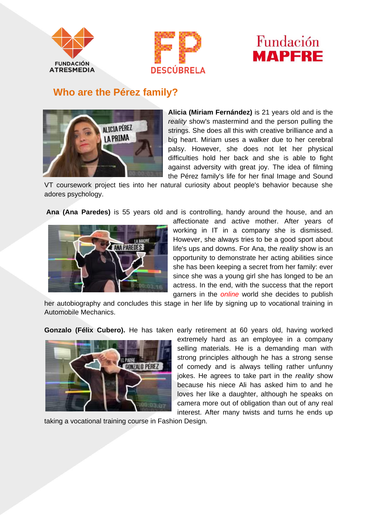





## **Who are the Pérez family?**



**Alicia (Miriam Fernández)** is 21 years old and is the *reality* show's mastermind and the person pulling the strings. She does all this with creative brilliance and a big heart. Miriam uses a walker due to her cerebral palsy. However, she does not let her physical difficulties hold her back and she is able to fight against adversity with great joy. The idea of filming the Pérez family's life for her final Image and Sound

VT coursework project ties into her natural curiosity about people's behavior because she adores psychology.

**Ana (Ana Paredes)** is 55 years old and is controlling, handy around the house, and an



affectionate and active mother. After years of working in IT in a company she is dismissed. However, she always tries to be a good sport about life's ups and downs. For Ana, the *reality* show is an opportunity to demonstrate her acting abilities since she has been keeping a secret from her family: ever since she was a young girl she has longed to be an actress. In the end, with the success that the report garners in the *online* world she decides to publish

her autobiography and concludes this stage in her life by signing up to vocational training in Automobile Mechanics.

**Gonzalo (Félix Cubero).** He has taken early retirement at 60 years old, having worked



extremely hard as an employee in a company selling materials. He is a demanding man with strong principles although he has a strong sense of comedy and is always telling rather unfunny jokes. He agrees to take part in the *reality* show because his niece Ali has asked him to and he loves her like a daughter, although he speaks on camera more out of obligation than out of any real interest. After many twists and turns he ends up

taking a vocational training course in Fashion Design.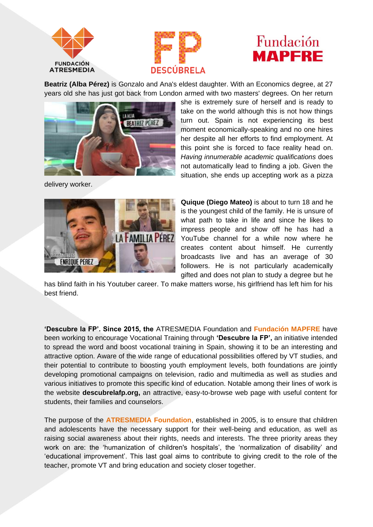



## Fundación **MAPFRE**

**Beatriz (Alba Pérez)** is Gonzalo and Ana's eldest daughter. With an Economics degree, at 27 years old she has just got back from London armed with two masters' degrees. On her return



she is extremely sure of herself and is ready to take on the world although this is not how things turn out. Spain is not experiencing its best moment economically-speaking and no one hires her despite all her efforts to find employment. At this point she is forced to face reality head on. *Having innumerable academic qualifications* does not automatically lead to finding a job. Given the situation, she ends up accepting work as a pizza

delivery worker.



**Quique (Diego Mateo)** is about to turn 18 and he is the youngest child of the family. He is unsure of what path to take in life and since he likes to impress people and show off he has had a YouTube channel for a while now where he creates content about himself. He currently broadcasts live and has an average of 30 followers. He is not particularly academically gifted and does not plan to study a degree but he

has blind faith in his Youtuber career. To make matters worse, his girlfriend has left him for his best friend.

**'Descubre la FP'. Since 2015, the** ATRESMEDIA Foundation and **Fundación MAPFRE** have been working to encourage Vocational Training through **'Descubre la FP',** an initiative intended to spread the word and boost vocational training in Spain, showing it to be an interesting and attractive option. Aware of the wide range of educational possibilities offered by VT studies, and their potential to contribute to boosting youth employment levels, both foundations are jointly developing promotional campaigns on television, radio and multimedia as well as studies and various initiatives to promote this specific kind of education. Notable among their lines of work is the website **descubrelafp.org,** an attractive, easy-to-browse web page with useful content for students, their families and counselors.

The purpose of the **ATRESMEDIA Foundation**, established in 2005, is to ensure that children and adolescents have the necessary support for their well-being and education, as well as raising social awareness about their rights, needs and interests. The three priority areas they work on are: the 'humanization of children's hospitals', the 'normalization of disability' and 'educational improvement'. This last goal aims to contribute to giving credit to the role of the teacher, promote VT and bring education and society closer together.